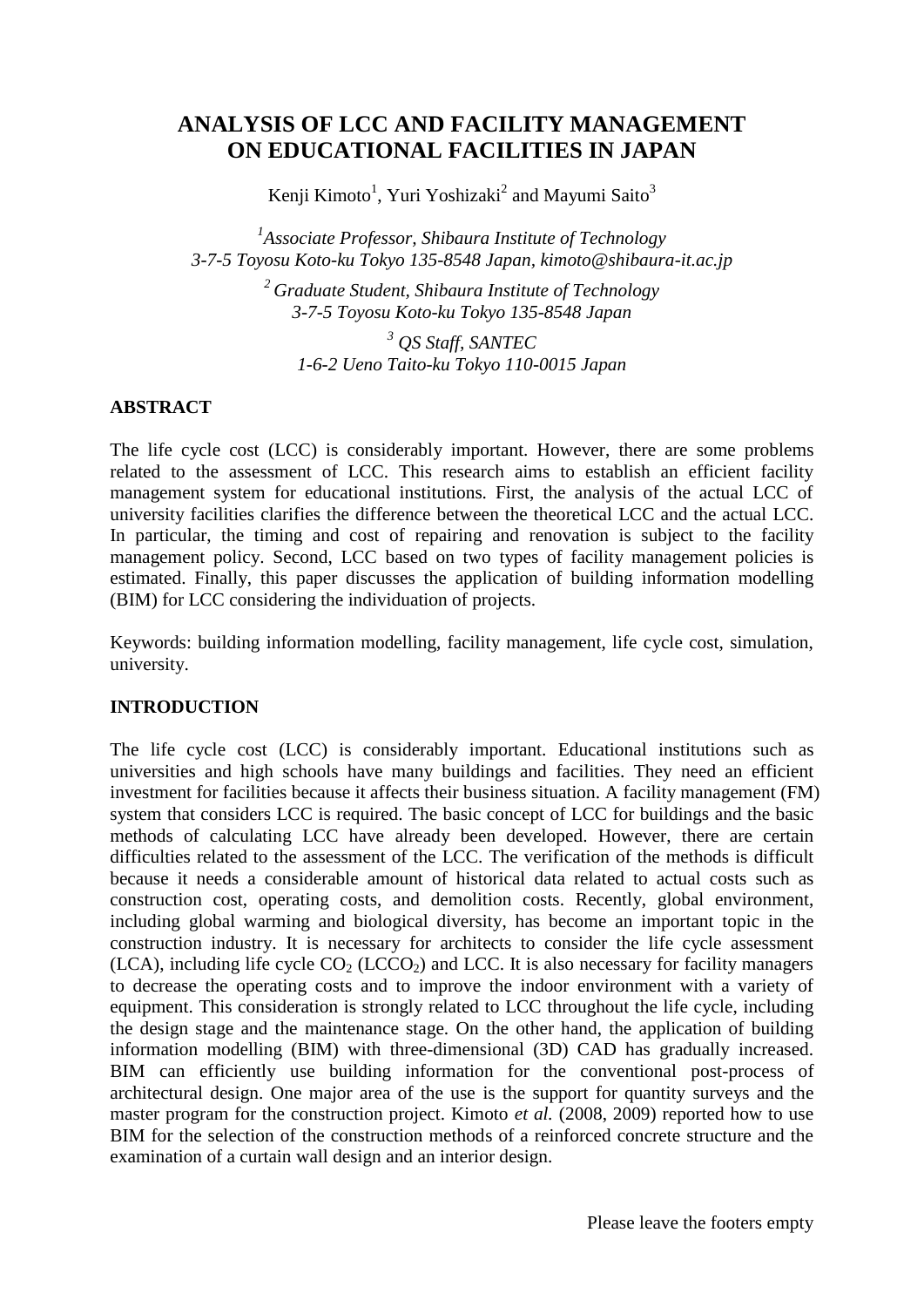# **ANALYSIS OF LCC AND FACILITY MANAGEMENT ON EDUCATIONAL FACILITIES IN JAPAN**

Kenji Kimoto<sup>1</sup>, Yuri Yoshizaki<sup>2</sup> and Mayumi Saito<sup>3</sup>

*1 Associate Professor, Shibaura Institute of Technology 3-7-5 Toyosu Koto-ku Tokyo 135-8548 Japan, kimoto@shibaura-it.ac.jp*

> *<sup>2</sup> Graduate Student, Shibaura Institute of Technology 3-7-5 Toyosu Koto-ku Tokyo 135-8548 Japan*

*<sup>3</sup> QS Staff, SANTEC 1-6-2 Ueno Taito-ku Tokyo 110-0015 Japan*

### **ABSTRACT**

The life cycle cost (LCC) is considerably important. However, there are some problems related to the assessment of LCC. This research aims to establish an efficient facility management system for educational institutions. First, the analysis of the actual LCC of university facilities clarifies the difference between the theoretical LCC and the actual LCC. In particular, the timing and cost of repairing and renovation is subject to the facility management policy. Second, LCC based on two types of facility management policies is estimated. Finally, this paper discusses the application of building information modelling (BIM) for LCC considering the individuation of projects.

Keywords: building information modelling, facility management, life cycle cost, simulation, university.

#### **INTRODUCTION**

The life cycle cost (LCC) is considerably important. Educational institutions such as universities and high schools have many buildings and facilities. They need an efficient investment for facilities because it affects their business situation. A facility management (FM) system that considers LCC is required. The basic concept of LCC for buildings and the basic methods of calculating LCC have already been developed. However, there are certain difficulties related to the assessment of the LCC. The verification of the methods is difficult because it needs a considerable amount of historical data related to actual costs such as construction cost, operating costs, and demolition costs. Recently, global environment, including global warming and biological diversity, has become an important topic in the construction industry. It is necessary for architects to consider the life cycle assessment (LCA), including life cycle  $CO<sub>2</sub>$  (LCCO<sub>2</sub>) and LCC. It is also necessary for facility managers to decrease the operating costs and to improve the indoor environment with a variety of equipment. This consideration is strongly related to LCC throughout the life cycle, including the design stage and the maintenance stage. On the other hand, the application of building information modelling (BIM) with three-dimensional (3D) CAD has gradually increased. BIM can efficiently use building information for the conventional post-process of architectural design. One major area of the use is the support for quantity surveys and the master program for the construction project. Kimoto *et al.* (2008, 2009) reported how to use BIM for the selection of the construction methods of a reinforced concrete structure and the examination of a curtain wall design and an interior design.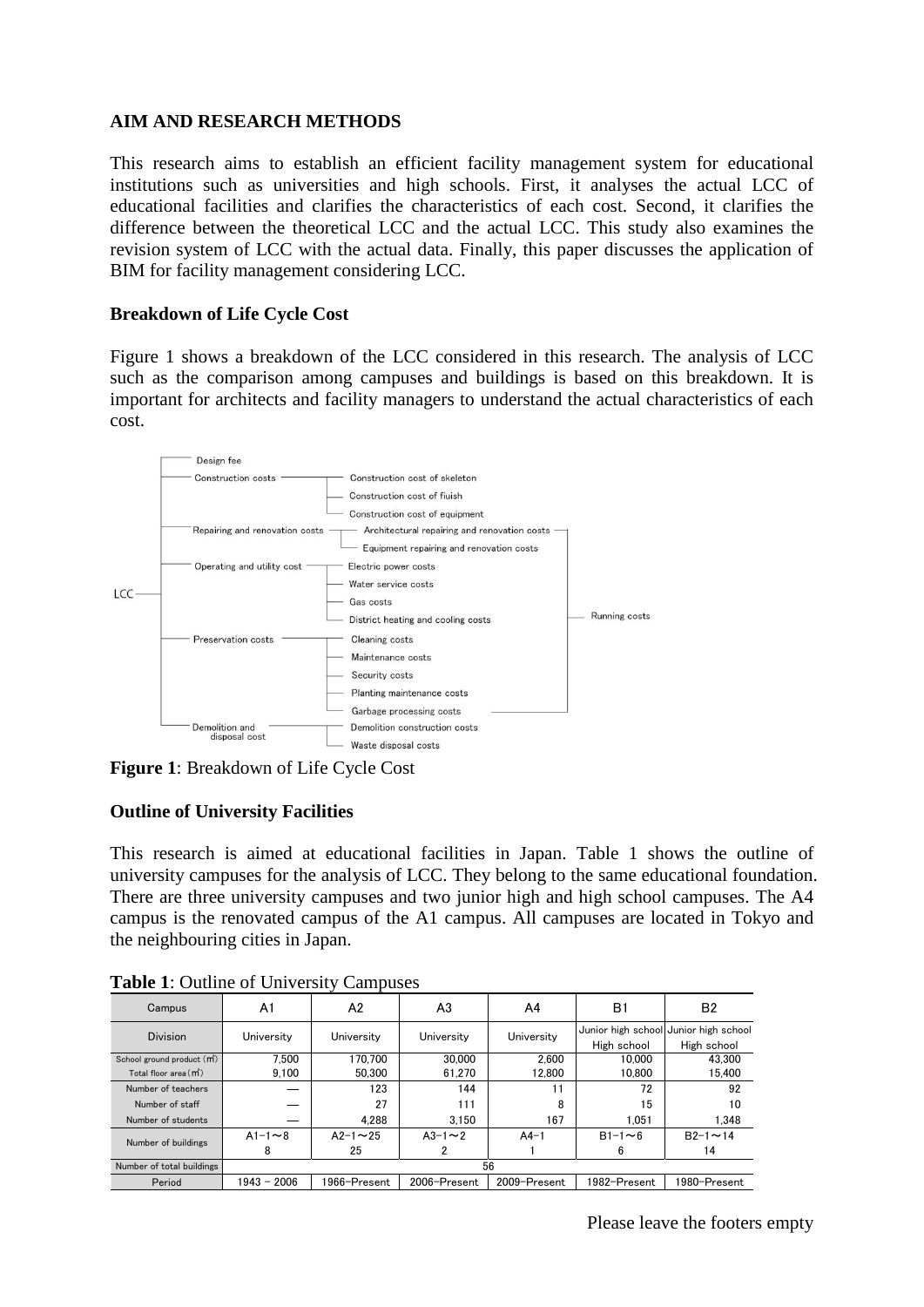### **AIM AND RESEARCH METHODS**

This research aims to establish an efficient facility management system for educational institutions such as universities and high schools. First, it analyses the actual LCC of educational facilities and clarifies the characteristics of each cost. Second, it clarifies the difference between the theoretical LCC and the actual LCC. This study also examines the revision system of LCC with the actual data. Finally, this paper discusses the application of BIM for facility management considering LCC.

#### **Breakdown of Life Cycle Cost**

Figure 1 shows a breakdown of the LCC considered in this research. The analysis of LCC such as the comparison among campuses and buildings is based on this breakdown. It is important for architects and facility managers to understand the actual characteristics of each cost.



**Figure 1**: Breakdown of Life Cycle Cost

### **Outline of University Facilities**

This research is aimed at educational facilities in Japan. Table 1 shows the outline of university campuses for the analysis of LCC. They belong to the same educational foundation. There are three university campuses and two junior high and high school campuses. The A4 campus is the renovated campus of the A1 campus. All campuses are located in Tokyo and the neighbouring cities in Japan.

| Campus                                  | A1            | A <sub>2</sub>   | A <sub>3</sub> | A4           | B1            | B <sub>2</sub>                                       |
|-----------------------------------------|---------------|------------------|----------------|--------------|---------------|------------------------------------------------------|
| <b>Division</b>                         | University    | University       | University     | University   | High school   | Junior high school Junior high school<br>High school |
| School ground product (m <sup>2</sup> ) | 7.500         | 170.700          | 30,000         | 2.600        | 10.000        | 43.300                                               |
| Total floor area (m <sup>2</sup> )      | 9.100         | 50.300           | 61.270         | 12.800       | 10.800        | 15,400                                               |
| Number of teachers                      |               | 123              | 144            | 11           | 72            | 92                                                   |
| Number of staff                         |               | 27               | 111            | 8            | 15            | 10                                                   |
| Number of students                      |               | 4.288            | 3.150          | 167          | 1.051         | 1.348                                                |
| Number of buildings                     | $A1-1 \sim 8$ | $A2 - 1 \sim 25$ | $A3 - 1 - 2$   | $A4-1$       | $B1-1 \sim 6$ | $B2 - 1 \sim 14$                                     |
|                                         | 8             | 25               |                |              | 6             | 14                                                   |
| Number of total buildings               | 56            |                  |                |              |               |                                                      |
| Period                                  | $1943 - 2006$ | 1966-Present     | 2006-Present   | 2009-Present | 1982-Present  | 1980-Present                                         |

**Table 1**: Outline of University Campuses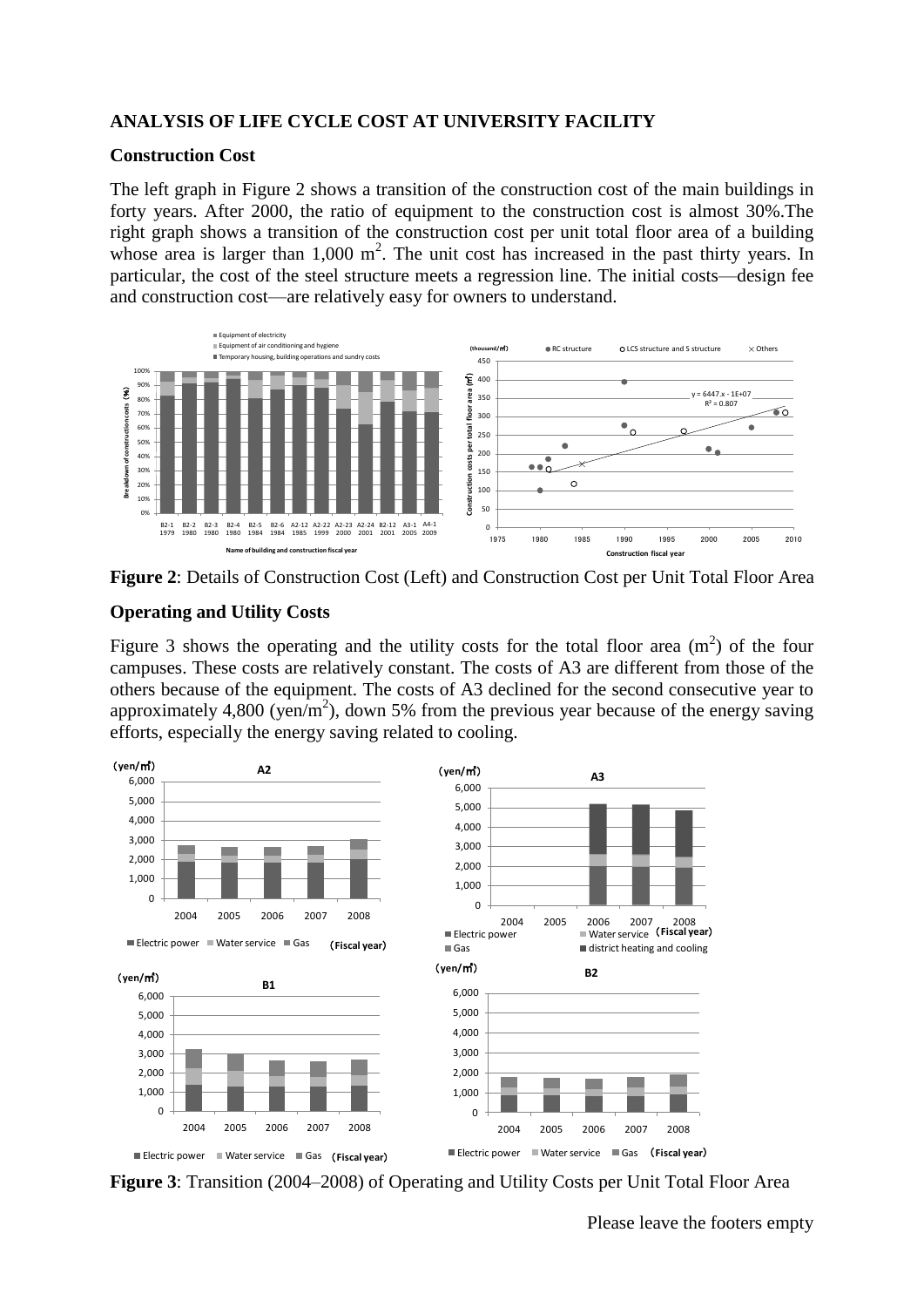### **ANALYSIS OF LIFE CYCLE COST AT UNIVERSITY FACILITY**

#### **Construction Cost**

The left graph in Figure 2 shows a transition of the construction cost of the main buildings in forty years. After 2000, the ratio of equipment to the construction cost is almost 30%.The right graph shows a transition of the construction cost per unit total floor area of a building whose area is larger than  $1,000 \text{ m}^2$ . The unit cost has increased in the past thirty years. In particular, the cost of the steel structure meets a regression line. The initial costs—design fee and construction cost—are relatively easy for owners to understand.



**Figure 2**: Details of Construction Cost (Left) and Construction Cost per Unit Total Floor Area

### **Operating and Utility Costs**

Figure 3 shows the operating and the utility costs for the total floor area  $(m<sup>2</sup>)$  of the four campuses. These costs are relatively constant. The costs of A3 are different from those of the others because of the equipment. The costs of A3 declined for the second consecutive year to approximately 4,800 (yen/m<sup>2</sup>), down 5% from the previous year because of the energy saving efforts, especially the energy saving related to cooling.



**Figure 3**: Transition (2004–2008) of Operating and Utility Costs per Unit Total Floor Area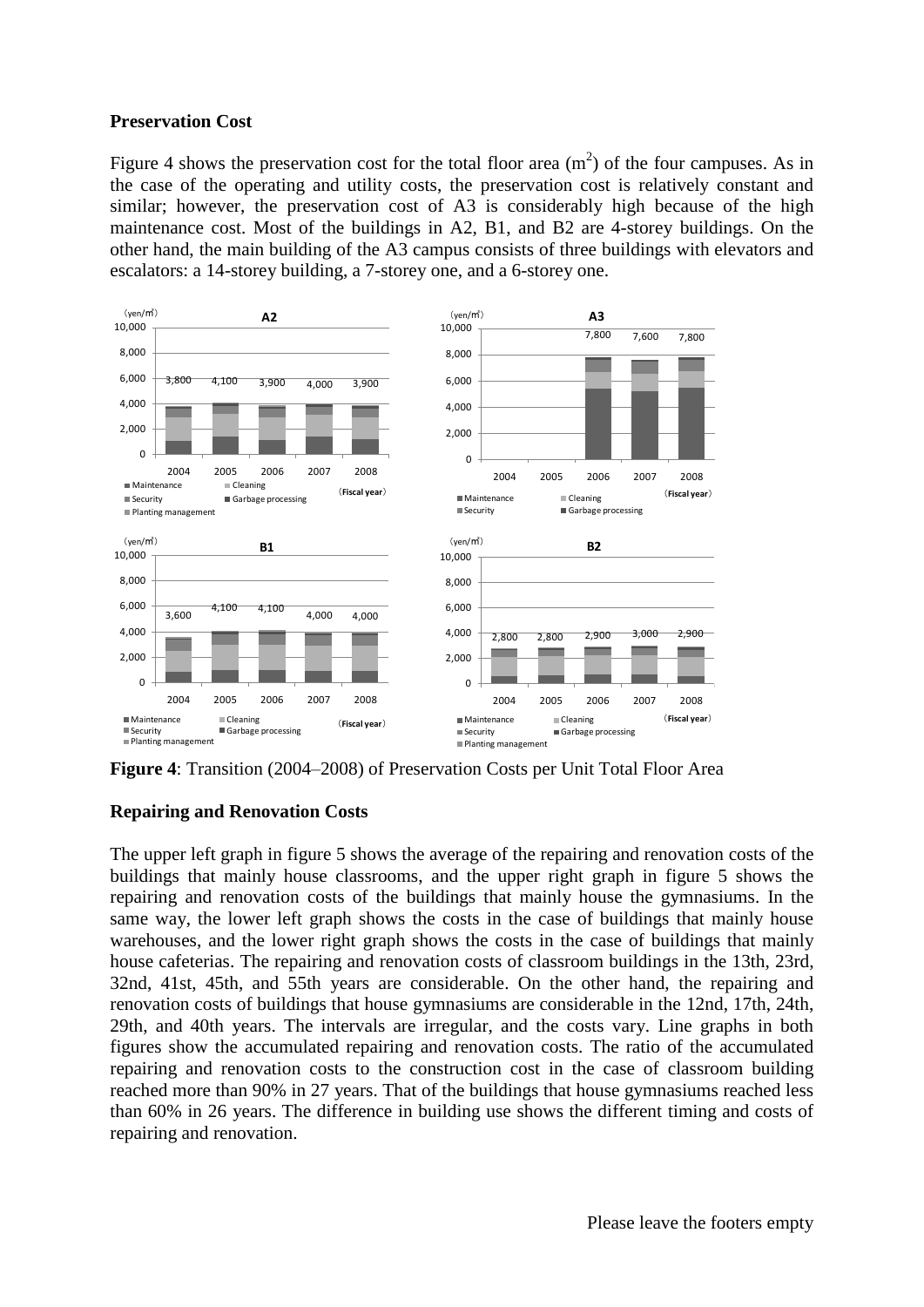### **Preservation Cost**

Figure 4 shows the preservation cost for the total floor area  $(m<sup>2</sup>)$  of the four campuses. As in the case of the operating and utility costs, the preservation cost is relatively constant and similar; however, the preservation cost of A3 is considerably high because of the high maintenance cost. Most of the buildings in A2, B1, and B2 are 4-storey buildings. On the other hand, the main building of the A3 campus consists of three buildings with elevators and escalators: a 14-storey building, a 7-storey one, and a 6-storey one.



**Figure 4**: Transition (2004–2008) of Preservation Costs per Unit Total Floor Area

### **Repairing and Renovation Costs**

The upper left graph in figure 5 shows the average of the repairing and renovation costs of the buildings that mainly house classrooms, and the upper right graph in figure 5 shows the repairing and renovation costs of the buildings that mainly house the gymnasiums. In the same way, the lower left graph shows the costs in the case of buildings that mainly house warehouses, and the lower right graph shows the costs in the case of buildings that mainly house cafeterias. The repairing and renovation costs of classroom buildings in the 13th, 23rd, 32nd, 41st, 45th, and 55th years are considerable. On the other hand, the repairing and renovation costs of buildings that house gymnasiums are considerable in the 12nd, 17th, 24th, 29th, and 40th years. The intervals are irregular, and the costs vary. Line graphs in both figures show the accumulated repairing and renovation costs. The ratio of the accumulated repairing and renovation costs to the construction cost in the case of classroom building reached more than 90% in 27 years. That of the buildings that house gymnasiums reached less than 60% in 26 years. The difference in building use shows the different timing and costs of repairing and renovation.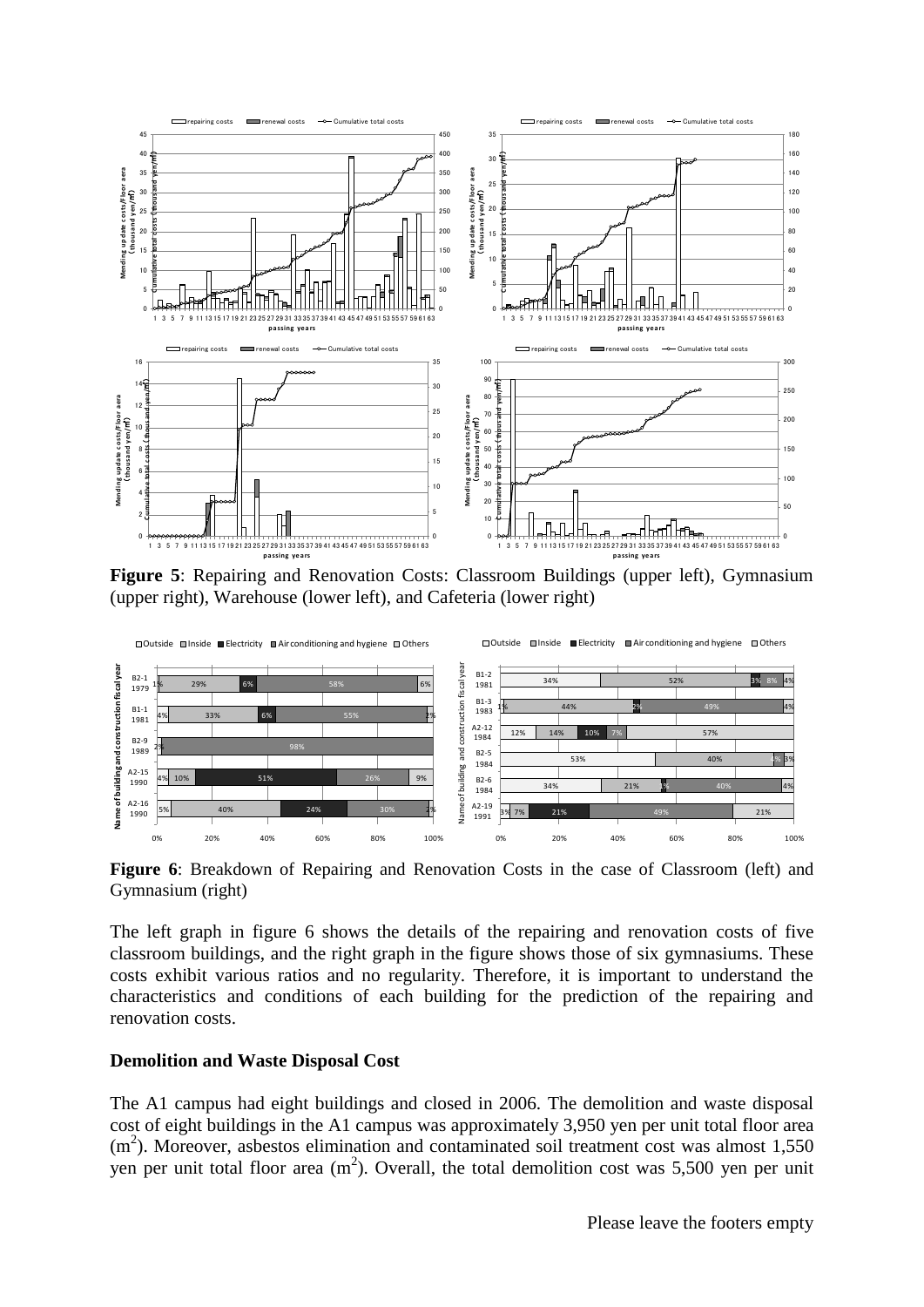

**Figure 5**: Repairing and Renovation Costs: Classroom Buildings (upper left), Gymnasium (upper right), Warehouse (lower left), and Cafeteria (lower right)



**Figure 6**: Breakdown of Repairing and Renovation Costs in the case of Classroom (left) and Gymnasium (right)

The left graph in figure 6 shows the details of the repairing and renovation costs of five classroom buildings, and the right graph in the figure shows those of six gymnasiums. These costs exhibit various ratios and no regularity. Therefore, it is important to understand the characteristics and conditions of each building for the prediction of the repairing and renovation costs.

#### **Demolition and Waste Disposal Cost**

The A1 campus had eight buildings and closed in 2006. The demolition and waste disposal cost of eight buildings in the A1 campus was approximately 3,950 yen per unit total floor area (m<sup>2</sup>). Moreover, asbestos elimination and contaminated soil treatment cost was almost 1,550 yen per unit total floor area  $(m^2)$ . Overall, the total demolition cost was 5,500 yen per unit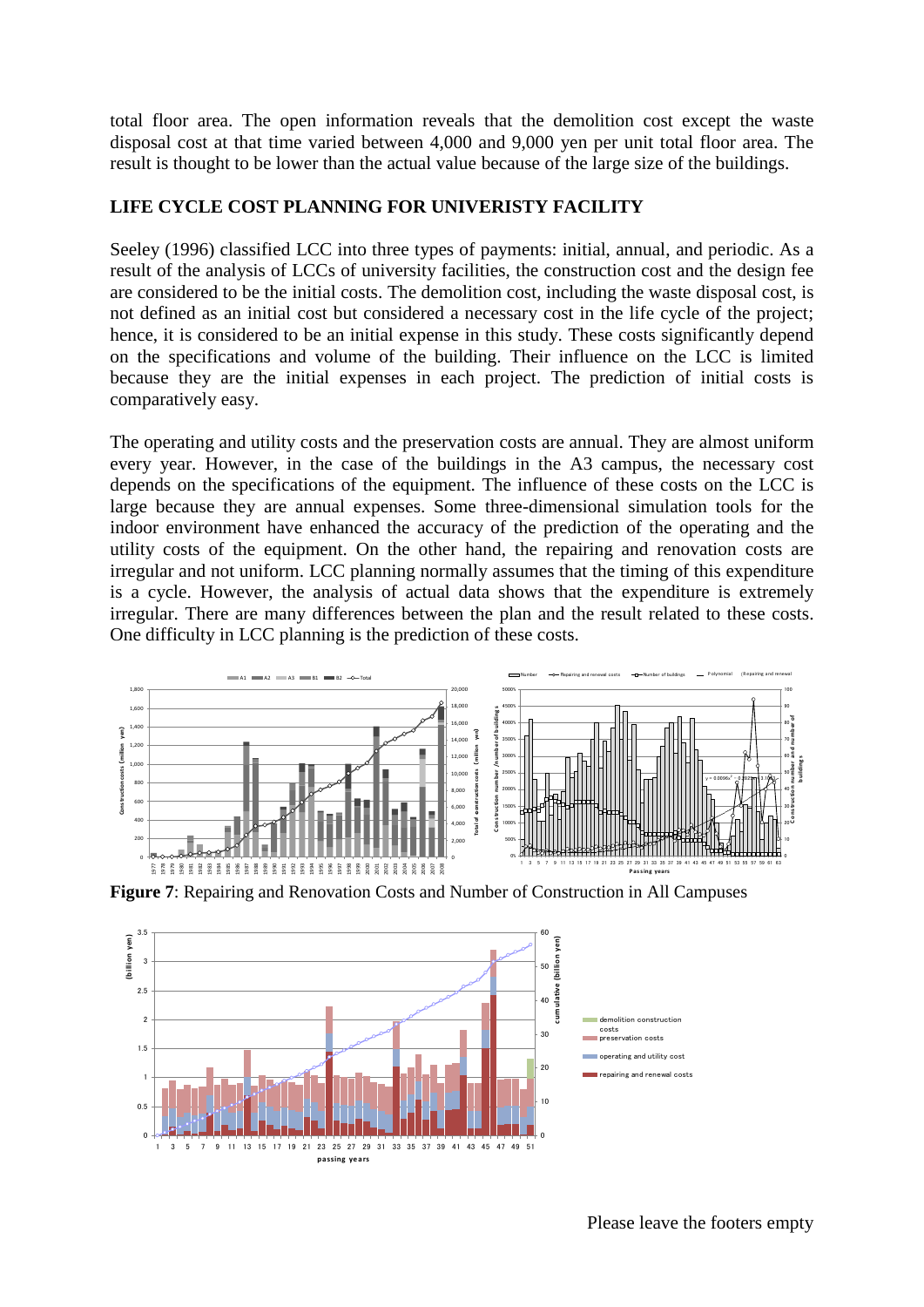total floor area. The open information reveals that the demolition cost except the waste disposal cost at that time varied between 4,000 and 9,000 yen per unit total floor area. The result is thought to be lower than the actual value because of the large size of the buildings.

#### **LIFE CYCLE COST PLANNING FOR UNIVERISTY FACILITY**

Seeley (1996) classified LCC into three types of payments: initial, annual, and periodic. As a result of the analysis of LCCs of university facilities, the construction cost and the design fee are considered to be the initial costs. The demolition cost, including the waste disposal cost, is not defined as an initial cost but considered a necessary cost in the life cycle of the project; hence, it is considered to be an initial expense in this study. These costs significantly depend on the specifications and volume of the building. Their influence on the LCC is limited because they are the initial expenses in each project. The prediction of initial costs is comparatively easy.

The operating and utility costs and the preservation costs are annual. They are almost uniform every year. However, in the case of the buildings in the A3 campus, the necessary cost depends on the specifications of the equipment. The influence of these costs on the LCC is large because they are annual expenses. Some three-dimensional simulation tools for the indoor environment have enhanced the accuracy of the prediction of the operating and the utility costs of the equipment. On the other hand, the repairing and renovation costs are irregular and not uniform. LCC planning normally assumes that the timing of this expenditure is a cycle. However, the analysis of actual data shows that the expenditure is extremely irregular. There are many differences between the plan and the result related to these costs. One difficulty in LCC planning is the prediction of these costs.



**Figure 7**: Repairing and Renovation Costs and Number of Construction in All Campuses

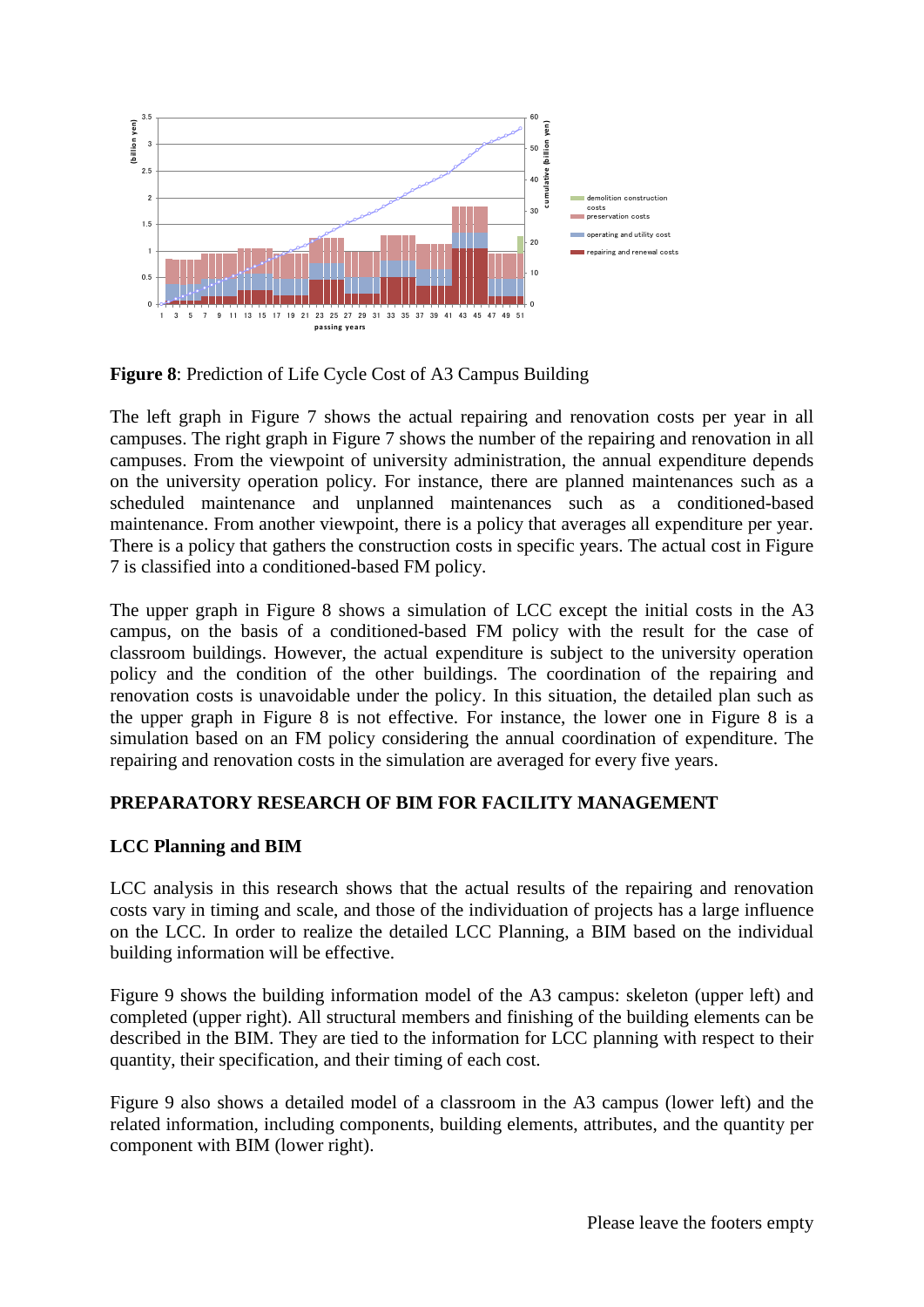

**Figure 8**: Prediction of Life Cycle Cost of A3 Campus Building

The left graph in Figure 7 shows the actual repairing and renovation costs per year in all campuses. The right graph in Figure 7 shows the number of the repairing and renovation in all campuses. From the viewpoint of university administration, the annual expenditure depends on the university operation policy. For instance, there are planned maintenances such as a scheduled maintenance and unplanned maintenances such as a conditioned-based maintenance. From another viewpoint, there is a policy that averages all expenditure per year. There is a policy that gathers the construction costs in specific years. The actual cost in Figure 7 is classified into a conditioned-based FM policy.

The upper graph in Figure 8 shows a simulation of LCC except the initial costs in the A3 campus, on the basis of a conditioned-based FM policy with the result for the case of classroom buildings. However, the actual expenditure is subject to the university operation policy and the condition of the other buildings. The coordination of the repairing and renovation costs is unavoidable under the policy. In this situation, the detailed plan such as the upper graph in Figure 8 is not effective. For instance, the lower one in Figure 8 is a simulation based on an FM policy considering the annual coordination of expenditure. The repairing and renovation costs in the simulation are averaged for every five years.

## **PREPARATORY RESEARCH OF BIM FOR FACILITY MANAGEMENT**

## **LCC Planning and BIM**

LCC analysis in this research shows that the actual results of the repairing and renovation costs vary in timing and scale, and those of the individuation of projects has a large influence on the LCC. In order to realize the detailed LCC Planning, a BIM based on the individual building information will be effective.

Figure 9 shows the building information model of the A3 campus: skeleton (upper left) and completed (upper right). All structural members and finishing of the building elements can be described in the BIM. They are tied to the information for LCC planning with respect to their quantity, their specification, and their timing of each cost.

Figure 9 also shows a detailed model of a classroom in the A3 campus (lower left) and the related information, including components, building elements, attributes, and the quantity per component with BIM (lower right).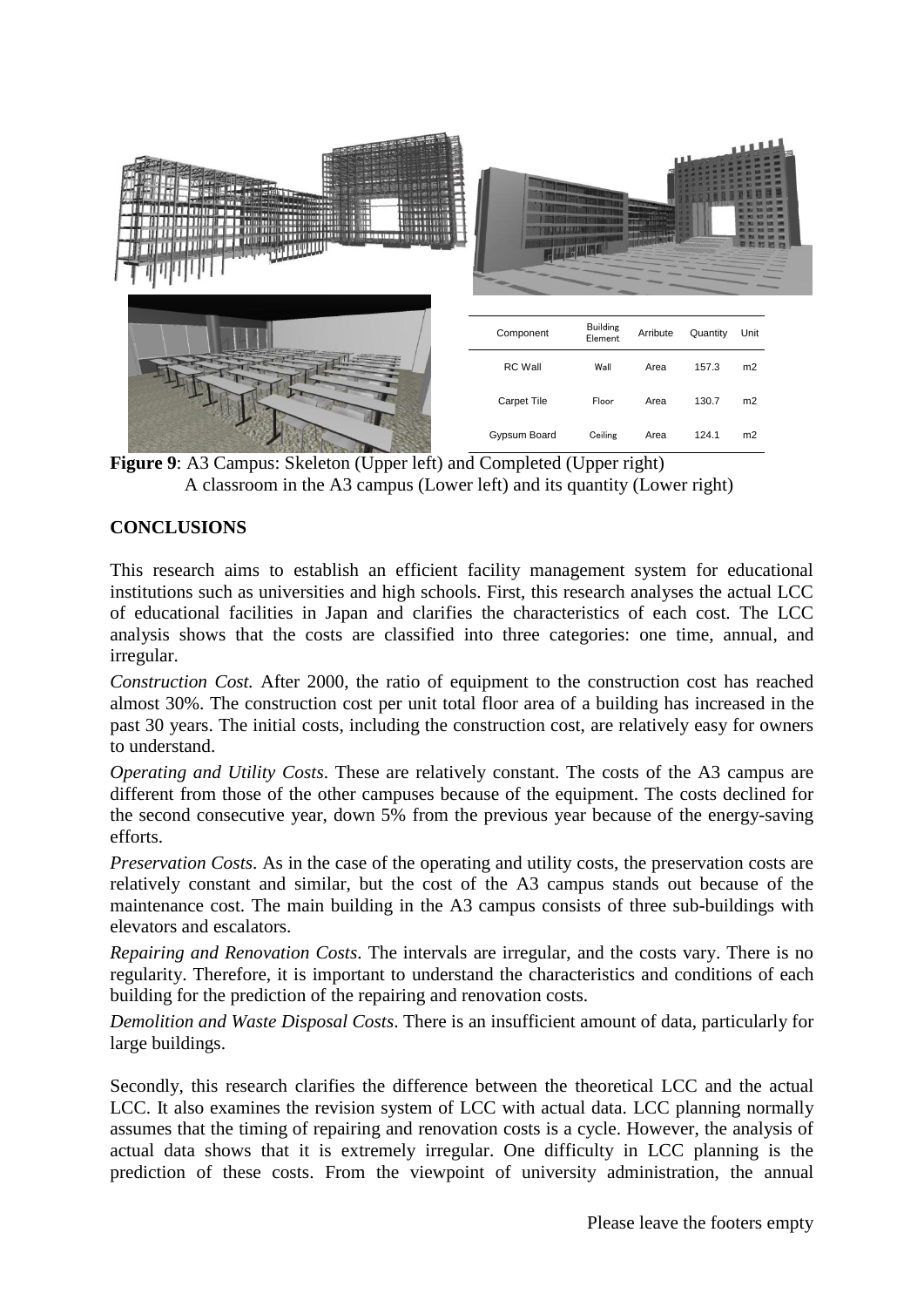

**Figure 9**: A3 Campus: Skeleton (Upper left) and Completed (Upper right) A classroom in the A3 campus (Lower left) and its quantity (Lower right)

### **CONCLUSIONS**

This research aims to establish an efficient facility management system for educational institutions such as universities and high schools. First, this research analyses the actual LCC of educational facilities in Japan and clarifies the characteristics of each cost. The LCC analysis shows that the costs are classified into three categories: one time, annual, and irregular.

*Construction Cost.* After 2000, the ratio of equipment to the construction cost has reached almost 30%. The construction cost per unit total floor area of a building has increased in the past 30 years. The initial costs, including the construction cost, are relatively easy for owners to understand.

*Operating and Utility Costs*. These are relatively constant. The costs of the A3 campus are different from those of the other campuses because of the equipment. The costs declined for the second consecutive year, down 5% from the previous year because of the energy-saving efforts.

*Preservation Costs*. As in the case of the operating and utility costs, the preservation costs are relatively constant and similar, but the cost of the A3 campus stands out because of the maintenance cost. The main building in the A3 campus consists of three sub-buildings with elevators and escalators.

*Repairing and Renovation Costs*. The intervals are irregular, and the costs vary. There is no regularity. Therefore, it is important to understand the characteristics and conditions of each building for the prediction of the repairing and renovation costs.

*Demolition and Waste Disposal Costs*. There is an insufficient amount of data, particularly for large buildings.

Secondly, this research clarifies the difference between the theoretical LCC and the actual LCC. It also examines the revision system of LCC with actual data. LCC planning normally assumes that the timing of repairing and renovation costs is a cycle. However, the analysis of actual data shows that it is extremely irregular. One difficulty in LCC planning is the prediction of these costs. From the viewpoint of university administration, the annual